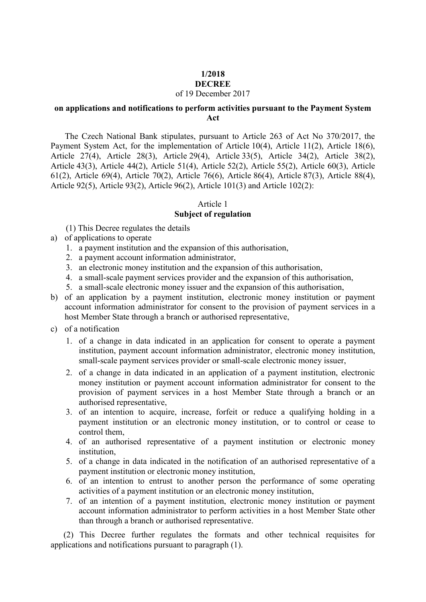#### **1/2018 DECREE**

## of 19 December 2017

### **on applications and notifications to perform activities pursuant to the Payment System Act**

 The Czech National Bank stipulates, pursuant to Article 263 of Act No 370/2017, the Payment System Act, for the implementation of Article 10(4), Article 11(2), Article 18(6), Article 27(4), Article 28(3), Article 29(4), Article 33(5), Article 34(2), Article 38(2), Article 43(3), Article 44(2), Article 51(4), Article 52(2), Article 55(2), Article 60(3), Article 61(2), Article 69(4), Article 70(2), Article 76(6), Article 86(4), Article 87(3), Article 88(4), Article 92(5), Article 93(2), Article 96(2), Article 101(3) and Article 102(2):

### Article 1

## **Subject of regulation**

- (1) This Decree regulates the details
- a) of applications to operate
	- 1. a payment institution and the expansion of this authorisation,
	- 2. a payment account information administrator,
	- 3. an electronic money institution and the expansion of this authorisation,
	- 4. a small-scale payment services provider and the expansion of this authorisation,
	- 5. a small-scale electronic money issuer and the expansion of this authorisation,
- b) of an application by a payment institution, electronic money institution or payment account information administrator for consent to the provision of payment services in a host Member State through a branch or authorised representative,
- c) of a notification
	- 1. of a change in data indicated in an application for consent to operate a payment institution, payment account information administrator, electronic money institution, small-scale payment services provider or small-scale electronic money issuer,
	- 2. of a change in data indicated in an application of a payment institution, electronic money institution or payment account information administrator for consent to the provision of payment services in a host Member State through a branch or an authorised representative,
	- 3. of an intention to acquire, increase, forfeit or reduce a qualifying holding in a payment institution or an electronic money institution, or to control or cease to control them,
	- 4. of an authorised representative of a payment institution or electronic money institution,
	- 5. of a change in data indicated in the notification of an authorised representative of a payment institution or electronic money institution,
	- 6. of an intention to entrust to another person the performance of some operating activities of a payment institution or an electronic money institution,
	- 7. of an intention of a payment institution, electronic money institution or payment account information administrator to perform activities in a host Member State other than through a branch or authorised representative.

 (2) This Decree further regulates the formats and other technical requisites for applications and notifications pursuant to paragraph (1).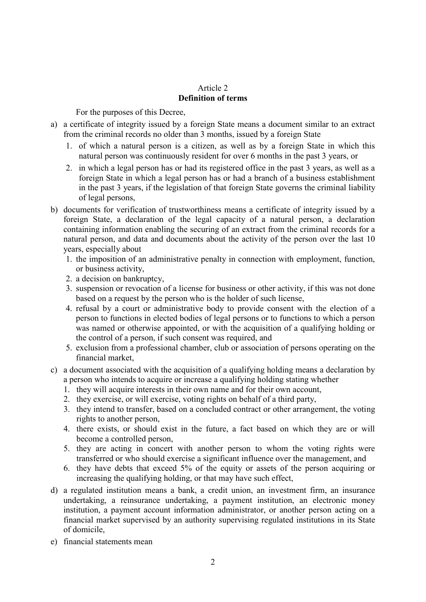## Article 2 **Definition of terms**

For the purposes of this Decree,

- a) a certificate of integrity issued by a foreign State means a document similar to an extract from the criminal records no older than 3 months, issued by a foreign State
	- 1. of which a natural person is a citizen, as well as by a foreign State in which this natural person was continuously resident for over 6 months in the past 3 years, or
	- 2. in which a legal person has or had its registered office in the past 3 years, as well as a foreign State in which a legal person has or had a branch of a business establishment in the past 3 years, if the legislation of that foreign State governs the criminal liability of legal persons,
- b) documents for verification of trustworthiness means a certificate of integrity issued by a foreign State, a declaration of the legal capacity of a natural person, a declaration containing information enabling the securing of an extract from the criminal records for a natural person, and data and documents about the activity of the person over the last 10 years, especially about
	- 1. the imposition of an administrative penalty in connection with employment, function, or business activity,
	- 2. a decision on bankruptcy,
	- 3. suspension or revocation of a license for business or other activity, if this was not done based on a request by the person who is the holder of such license,
	- 4. refusal by a court or administrative body to provide consent with the election of a person to functions in elected bodies of legal persons or to functions to which a person was named or otherwise appointed, or with the acquisition of a qualifying holding or the control of a person, if such consent was required, and
	- 5. exclusion from a professional chamber, club or association of persons operating on the financial market,
- c) a document associated with the acquisition of a qualifying holding means a declaration by a person who intends to acquire or increase a qualifying holding stating whether
	- 1. they will acquire interests in their own name and for their own account,
	- 2. they exercise, or will exercise, voting rights on behalf of a third party,
	- 3. they intend to transfer, based on a concluded contract or other arrangement, the voting rights to another person,
	- 4. there exists, or should exist in the future, a fact based on which they are or will become a controlled person,
	- 5. they are acting in concert with another person to whom the voting rights were transferred or who should exercise a significant influence over the management, and
	- 6. they have debts that exceed 5% of the equity or assets of the person acquiring or increasing the qualifying holding, or that may have such effect,
- d) a regulated institution means a bank, a credit union, an investment firm, an insurance undertaking, a reinsurance undertaking, a payment institution, an electronic money institution, a payment account information administrator, or another person acting on a financial market supervised by an authority supervising regulated institutions in its State of domicile,
- e) financial statements mean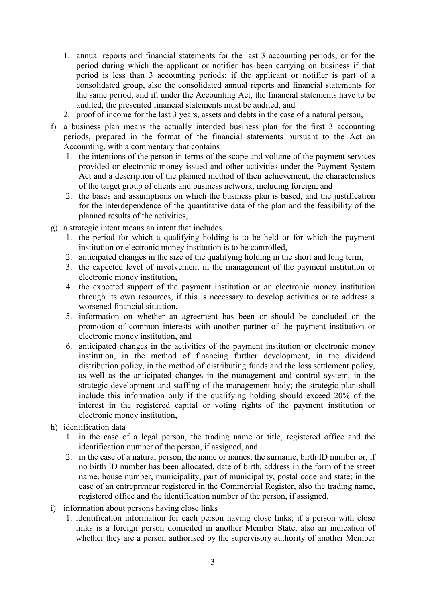- 1. annual reports and financial statements for the last 3 accounting periods, or for the period during which the applicant or notifier has been carrying on business if that period is less than 3 accounting periods; if the applicant or notifier is part of a consolidated group, also the consolidated annual reports and financial statements for the same period, and if, under the Accounting Act, the financial statements have to be audited, the presented financial statements must be audited, and
- 2. proof of income for the last 3 years, assets and debts in the case of a natural person,
- f) a business plan means the actually intended business plan for the first 3 accounting periods, prepared in the format of the financial statements pursuant to the Act on Accounting, with a commentary that contains
	- 1. the intentions of the person in terms of the scope and volume of the payment services provided or electronic money issued and other activities under the Payment System Act and a description of the planned method of their achievement, the characteristics of the target group of clients and business network, including foreign, and
	- 2. the bases and assumptions on which the business plan is based, and the justification for the interdependence of the quantitative data of the plan and the feasibility of the planned results of the activities,
- g) a strategic intent means an intent that includes
	- 1. the period for which a qualifying holding is to be held or for which the payment institution or electronic money institution is to be controlled,
	- 2. anticipated changes in the size of the qualifying holding in the short and long term,
	- 3. the expected level of involvement in the management of the payment institution or electronic money institution,
	- 4. the expected support of the payment institution or an electronic money institution through its own resources, if this is necessary to develop activities or to address a worsened financial situation,
	- 5. information on whether an agreement has been or should be concluded on the promotion of common interests with another partner of the payment institution or electronic money institution, and
	- 6. anticipated changes in the activities of the payment institution or electronic money institution, in the method of financing further development, in the dividend distribution policy, in the method of distributing funds and the loss settlement policy, as well as the anticipated changes in the management and control system, in the strategic development and staffing of the management body; the strategic plan shall include this information only if the qualifying holding should exceed 20% of the interest in the registered capital or voting rights of the payment institution or electronic money institution,
- h) identification data
	- 1. in the case of a legal person, the trading name or title, registered office and the identification number of the person, if assigned, and
	- 2. in the case of a natural person, the name or names, the surname, birth ID number or, if no birth ID number has been allocated, date of birth, address in the form of the street name, house number, municipality, part of municipality, postal code and state; in the case of an entrepreneur registered in the Commercial Register, also the trading name, registered office and the identification number of the person, if assigned,
- i) information about persons having close links
	- 1. identification information for each person having close links; if a person with close links is a foreign person domiciled in another Member State, also an indication of whether they are a person authorised by the supervisory authority of another Member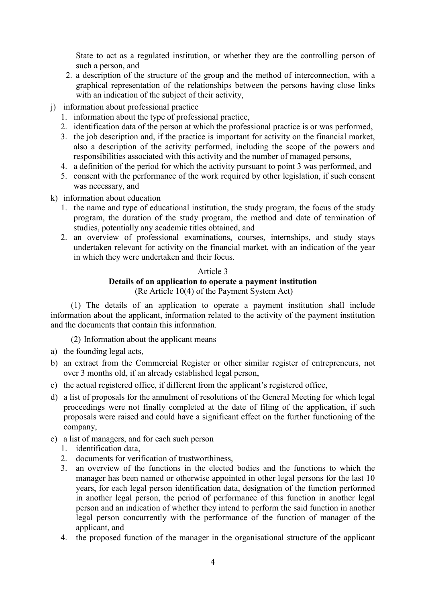State to act as a regulated institution, or whether they are the controlling person of such a person, and

- 2. a description of the structure of the group and the method of interconnection, with a graphical representation of the relationships between the persons having close links with an indication of the subject of their activity,
- j) information about professional practice
	- 1. information about the type of professional practice,
	- 2. identification data of the person at which the professional practice is or was performed,
	- 3. the job description and, if the practice is important for activity on the financial market, also a description of the activity performed, including the scope of the powers and responsibilities associated with this activity and the number of managed persons,
	- 4. a definition of the period for which the activity pursuant to point 3 was performed, and
	- 5. consent with the performance of the work required by other legislation, if such consent was necessary, and
- k) information about education
	- 1. the name and type of educational institution, the study program, the focus of the study program, the duration of the study program, the method and date of termination of studies, potentially any academic titles obtained, and
	- 2. an overview of professional examinations, courses, internships, and study stays undertaken relevant for activity on the financial market, with an indication of the year in which they were undertaken and their focus.

### Article 3

### **Details of an application to operate a payment institution** (Re Article 10(4) of the Payment System Act)

(1) The details of an application to operate a payment institution shall include information about the applicant, information related to the activity of the payment institution and the documents that contain this information.

(2) Information about the applicant means

- a) the founding legal acts,
- b) an extract from the Commercial Register or other similar register of entrepreneurs, not over 3 months old, if an already established legal person,
- c) the actual registered office, if different from the applicant's registered office,
- d) a list of proposals for the annulment of resolutions of the General Meeting for which legal proceedings were not finally completed at the date of filing of the application, if such proposals were raised and could have a significant effect on the further functioning of the company,
- e) a list of managers, and for each such person
	- 1. identification data,
	- 2. documents for verification of trustworthiness,
	- 3. an overview of the functions in the elected bodies and the functions to which the manager has been named or otherwise appointed in other legal persons for the last 10 years, for each legal person identification data, designation of the function performed in another legal person, the period of performance of this function in another legal person and an indication of whether they intend to perform the said function in another legal person concurrently with the performance of the function of manager of the applicant, and
	- 4. the proposed function of the manager in the organisational structure of the applicant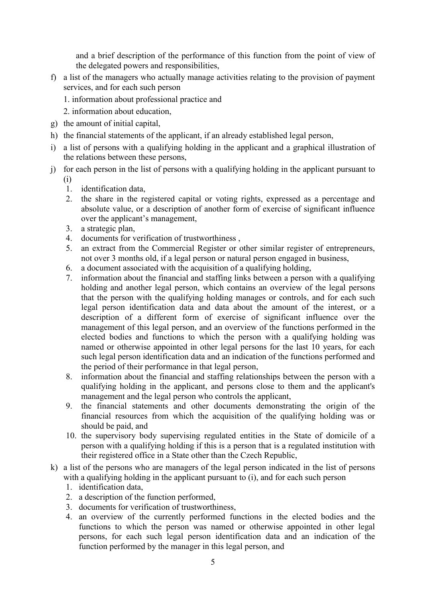and a brief description of the performance of this function from the point of view of the delegated powers and responsibilities,

- f) a list of the managers who actually manage activities relating to the provision of payment services, and for each such person
	- 1. information about professional practice and
	- 2. information about education,
- g) the amount of initial capital,
- h) the financial statements of the applicant, if an already established legal person,
- i) a list of persons with a qualifying holding in the applicant and a graphical illustration of the relations between these persons,
- j) for each person in the list of persons with a qualifying holding in the applicant pursuant to (i)
	- 1. identification data,
	- 2. the share in the registered capital or voting rights, expressed as a percentage and absolute value, or a description of another form of exercise of significant influence over the applicant's management,
	- 3. a strategic plan,
	- 4. documents for verification of trustworthiness ,
	- 5. an extract from the Commercial Register or other similar register of entrepreneurs, not over 3 months old, if a legal person or natural person engaged in business,
	- 6. a document associated with the acquisition of a qualifying holding,
	- 7. information about the financial and staffing links between a person with a qualifying holding and another legal person, which contains an overview of the legal persons that the person with the qualifying holding manages or controls, and for each such legal person identification data and data about the amount of the interest, or a description of a different form of exercise of significant influence over the management of this legal person, and an overview of the functions performed in the elected bodies and functions to which the person with a qualifying holding was named or otherwise appointed in other legal persons for the last 10 years, for each such legal person identification data and an indication of the functions performed and the period of their performance in that legal person,
	- 8. information about the financial and staffing relationships between the person with a qualifying holding in the applicant, and persons close to them and the applicant's management and the legal person who controls the applicant,
	- 9. the financial statements and other documents demonstrating the origin of the financial resources from which the acquisition of the qualifying holding was or should be paid, and
	- 10. the supervisory body supervising regulated entities in the State of domicile of a person with a qualifying holding if this is a person that is a regulated institution with their registered office in a State other than the Czech Republic,
- k) a list of the persons who are managers of the legal person indicated in the list of persons with a qualifying holding in the applicant pursuant to (i), and for each such person
	- 1. identification data,
	- 2. a description of the function performed,
	- 3. documents for verification of trustworthiness,
	- 4. an overview of the currently performed functions in the elected bodies and the functions to which the person was named or otherwise appointed in other legal persons, for each such legal person identification data and an indication of the function performed by the manager in this legal person, and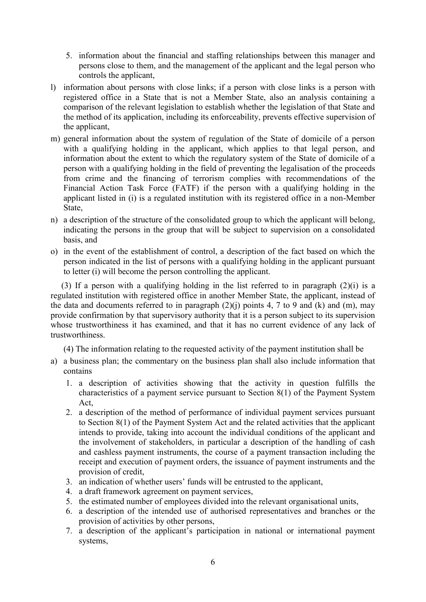- 5. information about the financial and staffing relationships between this manager and persons close to them, and the management of the applicant and the legal person who controls the applicant,
- l) information about persons with close links; if a person with close links is a person with registered office in a State that is not a Member State, also an analysis containing a comparison of the relevant legislation to establish whether the legislation of that State and the method of its application, including its enforceability, prevents effective supervision of the applicant,
- m) general information about the system of regulation of the State of domicile of a person with a qualifying holding in the applicant, which applies to that legal person, and information about the extent to which the regulatory system of the State of domicile of a person with a qualifying holding in the field of preventing the legalisation of the proceeds from crime and the financing of terrorism complies with recommendations of the Financial Action Task Force (FATF) if the person with a qualifying holding in the applicant listed in (i) is a regulated institution with its registered office in a non-Member State,
- n) a description of the structure of the consolidated group to which the applicant will belong, indicating the persons in the group that will be subject to supervision on a consolidated basis, and
- o) in the event of the establishment of control, a description of the fact based on which the person indicated in the list of persons with a qualifying holding in the applicant pursuant to letter (i) will become the person controlling the applicant.

 (3) If a person with a qualifying holding in the list referred to in paragraph (2)(i) is a regulated institution with registered office in another Member State, the applicant, instead of the data and documents referred to in paragraph  $(2)(i)$  points 4, 7 to 9 and (k) and (m), may provide confirmation by that supervisory authority that it is a person subject to its supervision whose trustworthiness it has examined, and that it has no current evidence of any lack of trustworthiness.

(4) The information relating to the requested activity of the payment institution shall be

- a) a business plan; the commentary on the business plan shall also include information that contains
	- 1. a description of activities showing that the activity in question fulfills the characteristics of a payment service pursuant to Section 8(1) of the Payment System Act,
	- 2. a description of the method of performance of individual payment services pursuant to Section 8(1) of the Payment System Act and the related activities that the applicant intends to provide, taking into account the individual conditions of the applicant and the involvement of stakeholders, in particular a description of the handling of cash and cashless payment instruments, the course of a payment transaction including the receipt and execution of payment orders, the issuance of payment instruments and the provision of credit,
	- 3. an indication of whether users' funds will be entrusted to the applicant,
	- 4. a draft framework agreement on payment services,
	- 5. the estimated number of employees divided into the relevant organisational units,
	- 6. a description of the intended use of authorised representatives and branches or the provision of activities by other persons,
	- 7. a description of the applicant's participation in national or international payment systems,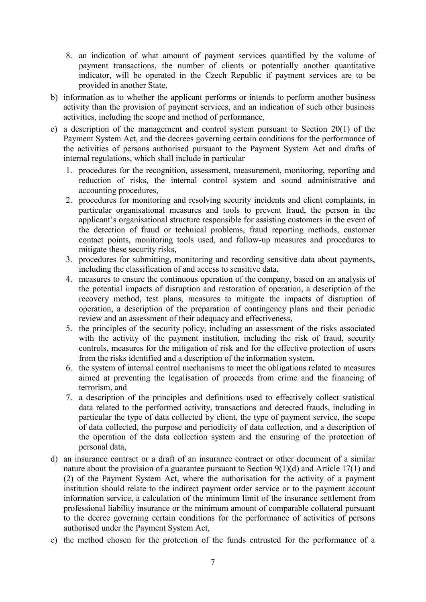- 8. an indication of what amount of payment services quantified by the volume of payment transactions, the number of clients or potentially another quantitative indicator, will be operated in the Czech Republic if payment services are to be provided in another State,
- b) information as to whether the applicant performs or intends to perform another business activity than the provision of payment services, and an indication of such other business activities, including the scope and method of performance,
- c) a description of the management and control system pursuant to Section 20(1) of the Payment System Act, and the decrees governing certain conditions for the performance of the activities of persons authorised pursuant to the Payment System Act and drafts of internal regulations, which shall include in particular
	- 1. procedures for the recognition, assessment, measurement, monitoring, reporting and reduction of risks, the internal control system and sound administrative and accounting procedures,
	- 2. procedures for monitoring and resolving security incidents and client complaints, in particular organisational measures and tools to prevent fraud, the person in the applicant's organisational structure responsible for assisting customers in the event of the detection of fraud or technical problems, fraud reporting methods, customer contact points, monitoring tools used, and follow-up measures and procedures to mitigate these security risks,
	- 3. procedures for submitting, monitoring and recording sensitive data about payments, including the classification of and access to sensitive data,
	- 4. measures to ensure the continuous operation of the company, based on an analysis of the potential impacts of disruption and restoration of operation, a description of the recovery method, test plans, measures to mitigate the impacts of disruption of operation, a description of the preparation of contingency plans and their periodic review and an assessment of their adequacy and effectiveness,
	- 5. the principles of the security policy, including an assessment of the risks associated with the activity of the payment institution, including the risk of fraud, security controls, measures for the mitigation of risk and for the effective protection of users from the risks identified and a description of the information system,
	- 6. the system of internal control mechanisms to meet the obligations related to measures aimed at preventing the legalisation of proceeds from crime and the financing of terrorism, and
	- 7. a description of the principles and definitions used to effectively collect statistical data related to the performed activity, transactions and detected frauds, including in particular the type of data collected by client, the type of payment service, the scope of data collected, the purpose and periodicity of data collection, and a description of the operation of the data collection system and the ensuring of the protection of personal data,
- d) an insurance contract or a draft of an insurance contract or other document of a similar nature about the provision of a guarantee pursuant to Section 9(1)(d) and Article 17(1) and (2) of the Payment System Act, where the authorisation for the activity of a payment institution should relate to the indirect payment order service or to the payment account information service, a calculation of the minimum limit of the insurance settlement from professional liability insurance or the minimum amount of comparable collateral pursuant to the decree governing certain conditions for the performance of activities of persons authorised under the Payment System Act,
- e) the method chosen for the protection of the funds entrusted for the performance of a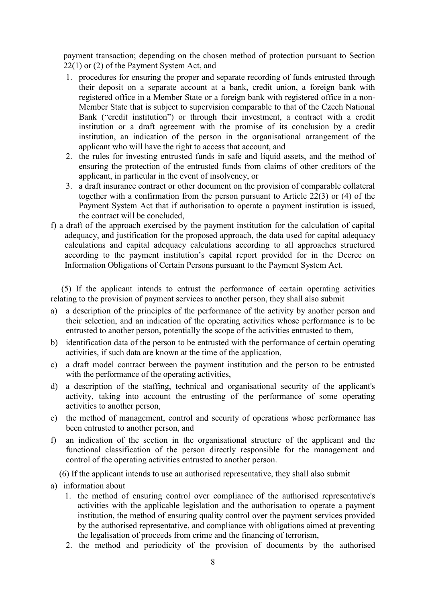payment transaction; depending on the chosen method of protection pursuant to Section 22(1) or (2) of the Payment System Act, and

- 1. procedures for ensuring the proper and separate recording of funds entrusted through their deposit on a separate account at a bank, credit union, a foreign bank with registered office in a Member State or a foreign bank with registered office in a non-Member State that is subject to supervision comparable to that of the Czech National Bank ("credit institution") or through their investment, a contract with a credit institution or a draft agreement with the promise of its conclusion by a credit institution, an indication of the person in the organisational arrangement of the applicant who will have the right to access that account, and
- 2. the rules for investing entrusted funds in safe and liquid assets, and the method of ensuring the protection of the entrusted funds from claims of other creditors of the applicant, in particular in the event of insolvency, or
- 3. a draft insurance contract or other document on the provision of comparable collateral together with a confirmation from the person pursuant to Article 22(3) or (4) of the Payment System Act that if authorisation to operate a payment institution is issued, the contract will be concluded,
- f) a draft of the approach exercised by the payment institution for the calculation of capital adequacy, and justification for the proposed approach, the data used for capital adequacy calculations and capital adequacy calculations according to all approaches structured according to the payment institution's capital report provided for in the Decree on Information Obligations of Certain Persons pursuant to the Payment System Act.

 (5) If the applicant intends to entrust the performance of certain operating activities relating to the provision of payment services to another person, they shall also submit

- a) a description of the principles of the performance of the activity by another person and their selection, and an indication of the operating activities whose performance is to be entrusted to another person, potentially the scope of the activities entrusted to them,
- b) identification data of the person to be entrusted with the performance of certain operating activities, if such data are known at the time of the application,
- c) a draft model contract between the payment institution and the person to be entrusted with the performance of the operating activities,
- d) a description of the staffing, technical and organisational security of the applicant's activity, taking into account the entrusting of the performance of some operating activities to another person,
- e) the method of management, control and security of operations whose performance has been entrusted to another person, and
- f) an indication of the section in the organisational structure of the applicant and the functional classification of the person directly responsible for the management and control of the operating activities entrusted to another person.

(6) If the applicant intends to use an authorised representative, they shall also submit

- a) information about
	- 1. the method of ensuring control over compliance of the authorised representative's activities with the applicable legislation and the authorisation to operate a payment institution, the method of ensuring quality control over the payment services provided by the authorised representative, and compliance with obligations aimed at preventing the legalisation of proceeds from crime and the financing of terrorism,
	- 2. the method and periodicity of the provision of documents by the authorised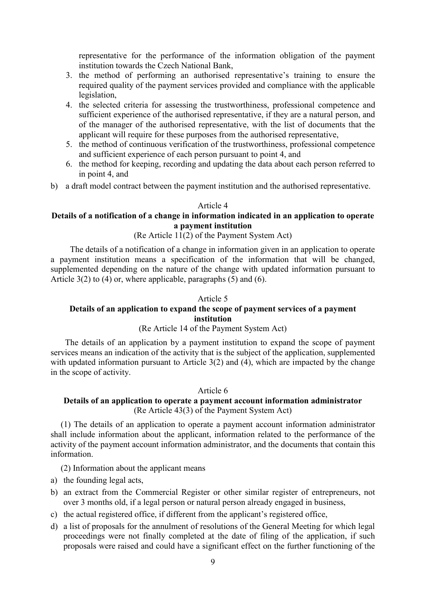representative for the performance of the information obligation of the payment institution towards the Czech National Bank,

- 3. the method of performing an authorised representative's training to ensure the required quality of the payment services provided and compliance with the applicable legislation,
- 4. the selected criteria for assessing the trustworthiness, professional competence and sufficient experience of the authorised representative, if they are a natural person, and of the manager of the authorised representative, with the list of documents that the applicant will require for these purposes from the authorised representative,
- 5. the method of continuous verification of the trustworthiness, professional competence and sufficient experience of each person pursuant to point 4, and
- 6. the method for keeping, recording and updating the data about each person referred to in point 4, and
- b) a draft model contract between the payment institution and the authorised representative.

## Article 4

## **Details of a notification of a change in information indicated in an application to operate a payment institution**

## (Re Article 11(2) of the Payment System Act)

 The details of a notification of a change in information given in an application to operate a payment institution means a specification of the information that will be changed, supplemented depending on the nature of the change with updated information pursuant to Article  $3(2)$  to  $(4)$  or, where applicable, paragraphs  $(5)$  and  $(6)$ .

### Article 5

# **Details of an application to expand the scope of payment services of a payment institution**

## (Re Article 14 of the Payment System Act)

 The details of an application by a payment institution to expand the scope of payment services means an indication of the activity that is the subject of the application, supplemented with updated information pursuant to Article 3(2) and (4), which are impacted by the change in the scope of activity.

## Article 6

## **Details of an application to operate a payment account information administrator**  (Re Article 43(3) of the Payment System Act)

(1) The details of an application to operate a payment account information administrator shall include information about the applicant, information related to the performance of the activity of the payment account information administrator, and the documents that contain this information.

(2) Information about the applicant means

- a) the founding legal acts,
- b) an extract from the Commercial Register or other similar register of entrepreneurs, not over 3 months old, if a legal person or natural person already engaged in business,
- c) the actual registered office, if different from the applicant's registered office,
- d) a list of proposals for the annulment of resolutions of the General Meeting for which legal proceedings were not finally completed at the date of filing of the application, if such proposals were raised and could have a significant effect on the further functioning of the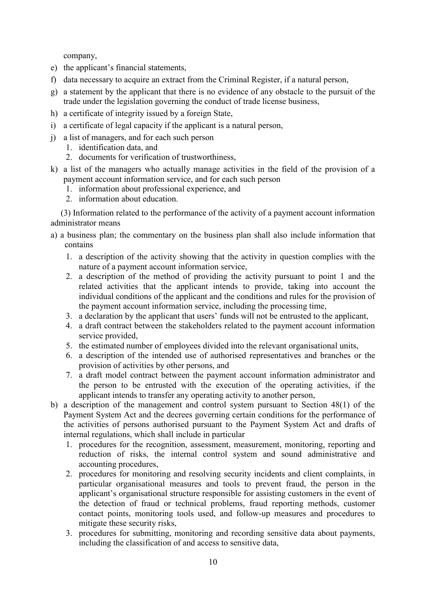company,

- e) the applicant's financial statements,
- f) data necessary to acquire an extract from the Criminal Register, if a natural person,
- g) a statement by the applicant that there is no evidence of any obstacle to the pursuit of the trade under the legislation governing the conduct of trade license business,
- h) a certificate of integrity issued by a foreign State,
- i) a certificate of legal capacity if the applicant is a natural person,
- j) a list of managers, and for each such person
	- 1. identification data, and
	- 2. documents for verification of trustworthiness,
- k) a list of the managers who actually manage activities in the field of the provision of a payment account information service, and for each such person
	- 1. information about professional experience, and
	- 2. information about education.

(3) Information related to the performance of the activity of a payment account information administrator means

- a) a business plan; the commentary on the business plan shall also include information that contains
	- 1. a description of the activity showing that the activity in question complies with the nature of a payment account information service,
	- 2. a description of the method of providing the activity pursuant to point 1 and the related activities that the applicant intends to provide, taking into account the individual conditions of the applicant and the conditions and rules for the provision of the payment account information service, including the processing time,
	- 3. a declaration by the applicant that users' funds will not be entrusted to the applicant,
	- 4. a draft contract between the stakeholders related to the payment account information service provided,
	- 5. the estimated number of employees divided into the relevant organisational units,
	- 6. a description of the intended use of authorised representatives and branches or the provision of activities by other persons, and
	- 7. a draft model contract between the payment account information administrator and the person to be entrusted with the execution of the operating activities, if the applicant intends to transfer any operating activity to another person,
- b) a description of the management and control system pursuant to Section 48(1) of the Payment System Act and the decrees governing certain conditions for the performance of the activities of persons authorised pursuant to the Payment System Act and drafts of internal regulations, which shall include in particular
	- 1. procedures for the recognition, assessment, measurement, monitoring, reporting and reduction of risks, the internal control system and sound administrative and accounting procedures,
	- 2. procedures for monitoring and resolving security incidents and client complaints, in particular organisational measures and tools to prevent fraud, the person in the applicant's organisational structure responsible for assisting customers in the event of the detection of fraud or technical problems, fraud reporting methods, customer contact points, monitoring tools used, and follow-up measures and procedures to mitigate these security risks,
	- 3. procedures for submitting, monitoring and recording sensitive data about payments, including the classification of and access to sensitive data,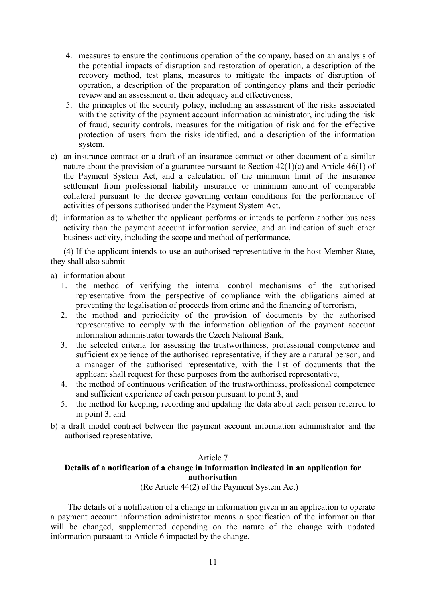- 4. measures to ensure the continuous operation of the company, based on an analysis of the potential impacts of disruption and restoration of operation, a description of the recovery method, test plans, measures to mitigate the impacts of disruption of operation, a description of the preparation of contingency plans and their periodic review and an assessment of their adequacy and effectiveness,
- 5. the principles of the security policy, including an assessment of the risks associated with the activity of the payment account information administrator, including the risk of fraud, security controls, measures for the mitigation of risk and for the effective protection of users from the risks identified, and a description of the information system,
- c) an insurance contract or a draft of an insurance contract or other document of a similar nature about the provision of a guarantee pursuant to Section  $42(1)(c)$  and Article  $46(1)$  of the Payment System Act, and a calculation of the minimum limit of the insurance settlement from professional liability insurance or minimum amount of comparable collateral pursuant to the decree governing certain conditions for the performance of activities of persons authorised under the Payment System Act,
- d) information as to whether the applicant performs or intends to perform another business activity than the payment account information service, and an indication of such other business activity, including the scope and method of performance,

 (4) If the applicant intends to use an authorised representative in the host Member State, they shall also submit

- a) information about
	- 1. the method of verifying the internal control mechanisms of the authorised representative from the perspective of compliance with the obligations aimed at preventing the legalisation of proceeds from crime and the financing of terrorism,
	- 2. the method and periodicity of the provision of documents by the authorised representative to comply with the information obligation of the payment account information administrator towards the Czech National Bank,
	- 3. the selected criteria for assessing the trustworthiness, professional competence and sufficient experience of the authorised representative, if they are a natural person, and a manager of the authorised representative, with the list of documents that the applicant shall request for these purposes from the authorised representative,
	- 4. the method of continuous verification of the trustworthiness, professional competence and sufficient experience of each person pursuant to point 3, and
	- 5. the method for keeping, recording and updating the data about each person referred to in point 3, and
- b) a draft model contract between the payment account information administrator and the authorised representative.

### Article 7

## **Details of a notification of a change in information indicated in an application for authorisation**

(Re Article 44(2) of the Payment System Act)

 The details of a notification of a change in information given in an application to operate a payment account information administrator means a specification of the information that will be changed, supplemented depending on the nature of the change with updated information pursuant to Article 6 impacted by the change.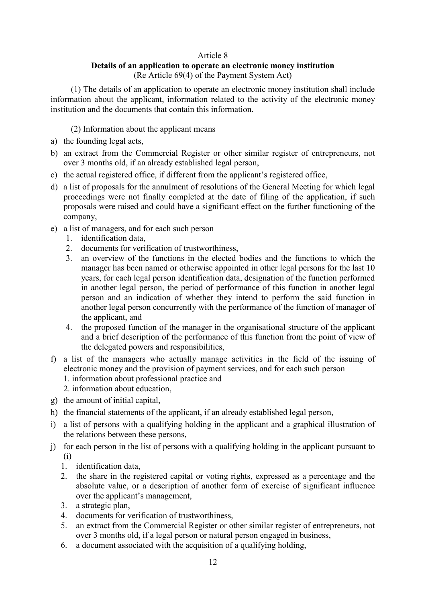## Article 8

## **Details of an application to operate an electronic money institution** (Re Article 69(4) of the Payment System Act)

(1) The details of an application to operate an electronic money institution shall include information about the applicant, information related to the activity of the electronic money institution and the documents that contain this information.

(2) Information about the applicant means

- a) the founding legal acts,
- b) an extract from the Commercial Register or other similar register of entrepreneurs, not over 3 months old, if an already established legal person,
- c) the actual registered office, if different from the applicant's registered office,
- d) a list of proposals for the annulment of resolutions of the General Meeting for which legal proceedings were not finally completed at the date of filing of the application, if such proposals were raised and could have a significant effect on the further functioning of the company,
- e) a list of managers, and for each such person
	- 1. identification data,
	- 2. documents for verification of trustworthiness,
	- 3. an overview of the functions in the elected bodies and the functions to which the manager has been named or otherwise appointed in other legal persons for the last 10 years, for each legal person identification data, designation of the function performed in another legal person, the period of performance of this function in another legal person and an indication of whether they intend to perform the said function in another legal person concurrently with the performance of the function of manager of the applicant, and
	- 4. the proposed function of the manager in the organisational structure of the applicant and a brief description of the performance of this function from the point of view of the delegated powers and responsibilities,
- f) a list of the managers who actually manage activities in the field of the issuing of electronic money and the provision of payment services, and for each such person 1. information about professional practice and
	- 2. information about education,
- g) the amount of initial capital,
- h) the financial statements of the applicant, if an already established legal person,
- i) a list of persons with a qualifying holding in the applicant and a graphical illustration of the relations between these persons,
- j) for each person in the list of persons with a qualifying holding in the applicant pursuant to (i)
	- 1. identification data,
	- 2. the share in the registered capital or voting rights, expressed as a percentage and the absolute value, or a description of another form of exercise of significant influence over the applicant's management,
	- 3. a strategic plan,
	- 4. documents for verification of trustworthiness,
	- 5. an extract from the Commercial Register or other similar register of entrepreneurs, not over 3 months old, if a legal person or natural person engaged in business,
	- 6. a document associated with the acquisition of a qualifying holding,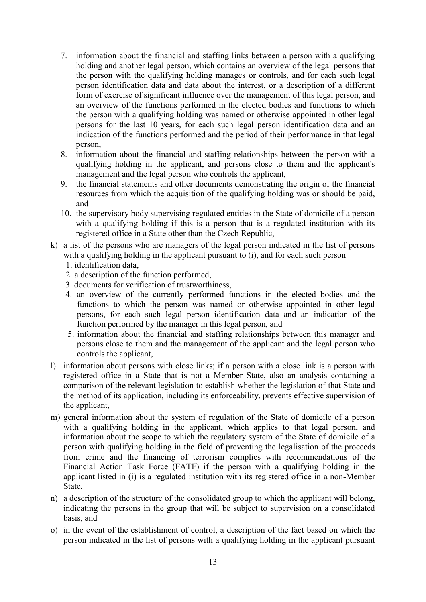- 7. information about the financial and staffing links between a person with a qualifying holding and another legal person, which contains an overview of the legal persons that the person with the qualifying holding manages or controls, and for each such legal person identification data and data about the interest, or a description of a different form of exercise of significant influence over the management of this legal person, and an overview of the functions performed in the elected bodies and functions to which the person with a qualifying holding was named or otherwise appointed in other legal persons for the last 10 years, for each such legal person identification data and an indication of the functions performed and the period of their performance in that legal person,
- 8. information about the financial and staffing relationships between the person with a qualifying holding in the applicant, and persons close to them and the applicant's management and the legal person who controls the applicant,
- 9. the financial statements and other documents demonstrating the origin of the financial resources from which the acquisition of the qualifying holding was or should be paid, and
- 10. the supervisory body supervising regulated entities in the State of domicile of a person with a qualifying holding if this is a person that is a regulated institution with its registered office in a State other than the Czech Republic,
- k) a list of the persons who are managers of the legal person indicated in the list of persons with a qualifying holding in the applicant pursuant to (i), and for each such person
	- 1. identification data,
	- 2. a description of the function performed,
	- 3. documents for verification of trustworthiness,
	- 4. an overview of the currently performed functions in the elected bodies and the functions to which the person was named or otherwise appointed in other legal persons, for each such legal person identification data and an indication of the function performed by the manager in this legal person, and
	- 5. information about the financial and staffing relationships between this manager and persons close to them and the management of the applicant and the legal person who controls the applicant,
- l) information about persons with close links; if a person with a close link is a person with registered office in a State that is not a Member State, also an analysis containing a comparison of the relevant legislation to establish whether the legislation of that State and the method of its application, including its enforceability, prevents effective supervision of the applicant,
- m) general information about the system of regulation of the State of domicile of a person with a qualifying holding in the applicant, which applies to that legal person, and information about the scope to which the regulatory system of the State of domicile of a person with qualifying holding in the field of preventing the legalisation of the proceeds from crime and the financing of terrorism complies with recommendations of the Financial Action Task Force (FATF) if the person with a qualifying holding in the applicant listed in (i) is a regulated institution with its registered office in a non-Member State,
- n) a description of the structure of the consolidated group to which the applicant will belong, indicating the persons in the group that will be subject to supervision on a consolidated basis, and
- o) in the event of the establishment of control, a description of the fact based on which the person indicated in the list of persons with a qualifying holding in the applicant pursuant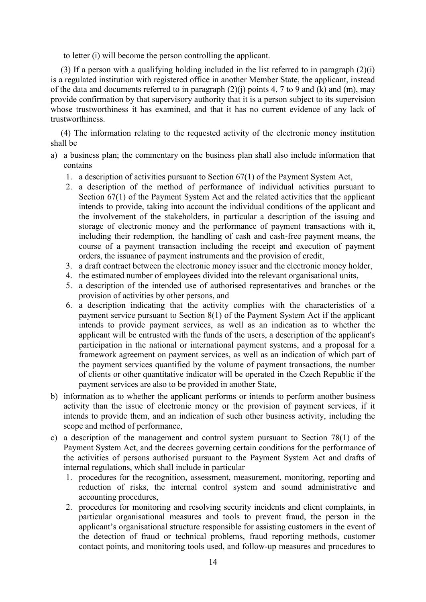to letter (i) will become the person controlling the applicant.

(3) If a person with a qualifying holding included in the list referred to in paragraph  $(2)(i)$ is a regulated institution with registered office in another Member State, the applicant, instead of the data and documents referred to in paragraph  $(2)(i)$  points 4, 7 to 9 and (k) and (m), may provide confirmation by that supervisory authority that it is a person subject to its supervision whose trustworthiness it has examined, and that it has no current evidence of any lack of trustworthiness.

(4) The information relating to the requested activity of the electronic money institution shall be

- a) a business plan; the commentary on the business plan shall also include information that contains
	- 1. a description of activities pursuant to Section 67(1) of the Payment System Act,
	- 2. a description of the method of performance of individual activities pursuant to Section 67(1) of the Payment System Act and the related activities that the applicant intends to provide, taking into account the individual conditions of the applicant and the involvement of the stakeholders, in particular a description of the issuing and storage of electronic money and the performance of payment transactions with it, including their redemption, the handling of cash and cash-free payment means, the course of a payment transaction including the receipt and execution of payment orders, the issuance of payment instruments and the provision of credit,
	- 3. a draft contract between the electronic money issuer and the electronic money holder,
	- 4. the estimated number of employees divided into the relevant organisational units,
	- 5. a description of the intended use of authorised representatives and branches or the provision of activities by other persons, and
	- 6. a description indicating that the activity complies with the characteristics of a payment service pursuant to Section 8(1) of the Payment System Act if the applicant intends to provide payment services, as well as an indication as to whether the applicant will be entrusted with the funds of the users, a description of the applicant's participation in the national or international payment systems, and a proposal for a framework agreement on payment services, as well as an indication of which part of the payment services quantified by the volume of payment transactions, the number of clients or other quantitative indicator will be operated in the Czech Republic if the payment services are also to be provided in another State,
- b) information as to whether the applicant performs or intends to perform another business activity than the issue of electronic money or the provision of payment services, if it intends to provide them, and an indication of such other business activity, including the scope and method of performance,
- c) a description of the management and control system pursuant to Section 78(1) of the Payment System Act, and the decrees governing certain conditions for the performance of the activities of persons authorised pursuant to the Payment System Act and drafts of internal regulations, which shall include in particular
	- 1. procedures for the recognition, assessment, measurement, monitoring, reporting and reduction of risks, the internal control system and sound administrative and accounting procedures,
	- 2. procedures for monitoring and resolving security incidents and client complaints, in particular organisational measures and tools to prevent fraud, the person in the applicant's organisational structure responsible for assisting customers in the event of the detection of fraud or technical problems, fraud reporting methods, customer contact points, and monitoring tools used, and follow-up measures and procedures to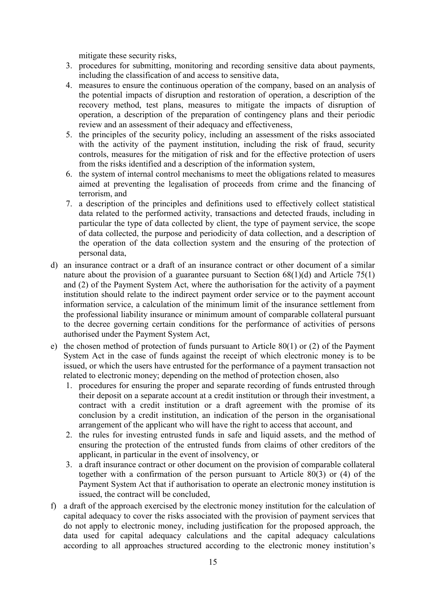mitigate these security risks,

- 3. procedures for submitting, monitoring and recording sensitive data about payments, including the classification of and access to sensitive data,
- 4. measures to ensure the continuous operation of the company, based on an analysis of the potential impacts of disruption and restoration of operation, a description of the recovery method, test plans, measures to mitigate the impacts of disruption of operation, a description of the preparation of contingency plans and their periodic review and an assessment of their adequacy and effectiveness,
- 5. the principles of the security policy, including an assessment of the risks associated with the activity of the payment institution, including the risk of fraud, security controls, measures for the mitigation of risk and for the effective protection of users from the risks identified and a description of the information system,
- 6. the system of internal control mechanisms to meet the obligations related to measures aimed at preventing the legalisation of proceeds from crime and the financing of terrorism, and
- 7. a description of the principles and definitions used to effectively collect statistical data related to the performed activity, transactions and detected frauds, including in particular the type of data collected by client, the type of payment service, the scope of data collected, the purpose and periodicity of data collection, and a description of the operation of the data collection system and the ensuring of the protection of personal data,
- d) an insurance contract or a draft of an insurance contract or other document of a similar nature about the provision of a guarantee pursuant to Section 68(1)(d) and Article 75(1) and (2) of the Payment System Act, where the authorisation for the activity of a payment institution should relate to the indirect payment order service or to the payment account information service, a calculation of the minimum limit of the insurance settlement from the professional liability insurance or minimum amount of comparable collateral pursuant to the decree governing certain conditions for the performance of activities of persons authorised under the Payment System Act,
- e) the chosen method of protection of funds pursuant to Article 80(1) or (2) of the Payment System Act in the case of funds against the receipt of which electronic money is to be issued, or which the users have entrusted for the performance of a payment transaction not related to electronic money; depending on the method of protection chosen, also
	- 1. procedures for ensuring the proper and separate recording of funds entrusted through their deposit on a separate account at a credit institution or through their investment, a contract with a credit institution or a draft agreement with the promise of its conclusion by a credit institution, an indication of the person in the organisational arrangement of the applicant who will have the right to access that account, and
	- 2. the rules for investing entrusted funds in safe and liquid assets, and the method of ensuring the protection of the entrusted funds from claims of other creditors of the applicant, in particular in the event of insolvency, or
	- 3. a draft insurance contract or other document on the provision of comparable collateral together with a confirmation of the person pursuant to Article 80(3) or (4) of the Payment System Act that if authorisation to operate an electronic money institution is issued, the contract will be concluded,
- f) a draft of the approach exercised by the electronic money institution for the calculation of capital adequacy to cover the risks associated with the provision of payment services that do not apply to electronic money, including justification for the proposed approach, the data used for capital adequacy calculations and the capital adequacy calculations according to all approaches structured according to the electronic money institution's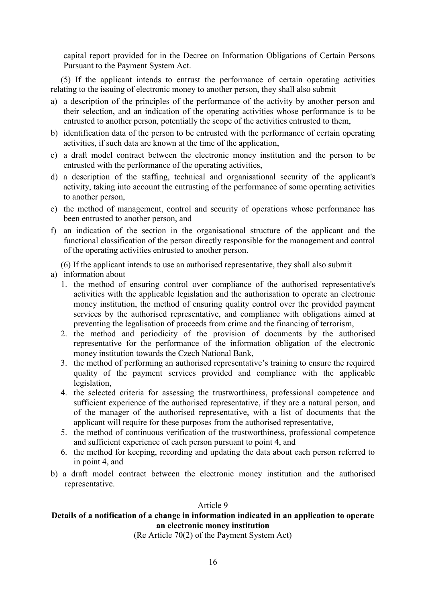capital report provided for in the Decree on Information Obligations of Certain Persons Pursuant to the Payment System Act.

(5) If the applicant intends to entrust the performance of certain operating activities relating to the issuing of electronic money to another person, they shall also submit

- a) a description of the principles of the performance of the activity by another person and their selection, and an indication of the operating activities whose performance is to be entrusted to another person, potentially the scope of the activities entrusted to them,
- b) identification data of the person to be entrusted with the performance of certain operating activities, if such data are known at the time of the application,
- c) a draft model contract between the electronic money institution and the person to be entrusted with the performance of the operating activities,
- d) a description of the staffing, technical and organisational security of the applicant's activity, taking into account the entrusting of the performance of some operating activities to another person,
- e) the method of management, control and security of operations whose performance has been entrusted to another person, and
- f) an indication of the section in the organisational structure of the applicant and the functional classification of the person directly responsible for the management and control of the operating activities entrusted to another person.

(6) If the applicant intends to use an authorised representative, they shall also submit

- a) information about
	- 1. the method of ensuring control over compliance of the authorised representative's activities with the applicable legislation and the authorisation to operate an electronic money institution, the method of ensuring quality control over the provided payment services by the authorised representative, and compliance with obligations aimed at preventing the legalisation of proceeds from crime and the financing of terrorism,
	- 2. the method and periodicity of the provision of documents by the authorised representative for the performance of the information obligation of the electronic money institution towards the Czech National Bank,
	- 3. the method of performing an authorised representative's training to ensure the required quality of the payment services provided and compliance with the applicable legislation,
	- 4. the selected criteria for assessing the trustworthiness, professional competence and sufficient experience of the authorised representative, if they are a natural person, and of the manager of the authorised representative, with a list of documents that the applicant will require for these purposes from the authorised representative,
	- 5. the method of continuous verification of the trustworthiness, professional competence and sufficient experience of each person pursuant to point 4, and
	- 6. the method for keeping, recording and updating the data about each person referred to in point 4, and
- b) a draft model contract between the electronic money institution and the authorised representative.

## Article 9

# **Details of a notification of a change in information indicated in an application to operate an electronic money institution**

(Re Article 70(2) of the Payment System Act)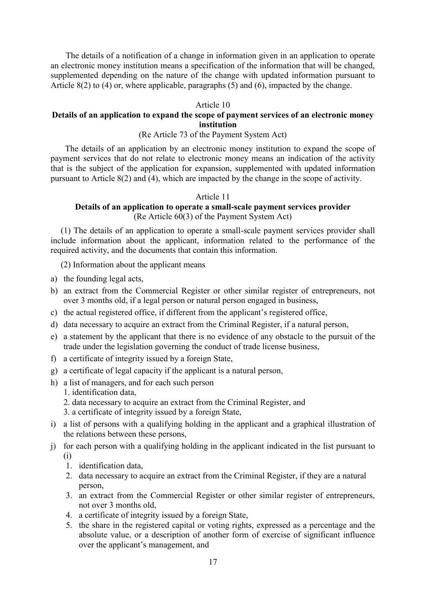The details of a notification of a change in information given in an application to operate an electronic money institution means a specification of the information that will be changed, supplemented depending on the nature of the change with updated information pursuant to Article 8(2) to (4) or, where applicable, paragraphs (5) and (6), impacted by the change.

### Article 10

## **Details of an application to expand the scope of payment services of an electronic money institution**

## (Re Article 73 of the Payment System Act)

 The details of an application by an electronic money institution to expand the scope of payment services that do not relate to electronic money means an indication of the activity that is the subject of the application for expansion, supplemented with updated information pursuant to Article 8(2) and (4), which are impacted by the change in the scope of activity.

### Article 11

## **Details of an application to operate a small-scale payment services provider** (Re Article 60(3) of the Payment System Act)

(1) The details of an application to operate a small-scale payment services provider shall include information about the applicant, information related to the performance of the required activity, and the documents that contain this information.

(2) Information about the applicant means

- a) the founding legal acts,
- b) an extract from the Commercial Register or other similar register of entrepreneurs, not over 3 months old, if a legal person or natural person engaged in business,
- c) the actual registered office, if different from the applicant's registered office,
- d) data necessary to acquire an extract from the Criminal Register, if a natural person,
- e) a statement by the applicant that there is no evidence of any obstacle to the pursuit of the trade under the legislation governing the conduct of trade license business,
- f) a certificate of integrity issued by a foreign State,
- g) a certificate of legal capacity if the applicant is a natural person,
- h) a list of managers, and for each such person
	- 1. identification data,
	- 2. data necessary to acquire an extract from the Criminal Register, and
	- 3. a certificate of integrity issued by a foreign State,
- i) a list of persons with a qualifying holding in the applicant and a graphical illustration of the relations between these persons,
- j) for each person with a qualifying holding in the applicant indicated in the list pursuant to (i)
	- 1. identification data,
	- 2. data necessary to acquire an extract from the Criminal Register, if they are a natural person,
	- 3. an extract from the Commercial Register or other similar register of entrepreneurs, not over 3 months old,
	- 4. a certificate of integrity issued by a foreign State,
	- 5. the share in the registered capital or voting rights, expressed as a percentage and the absolute value, or a description of another form of exercise of significant influence over the applicant's management, and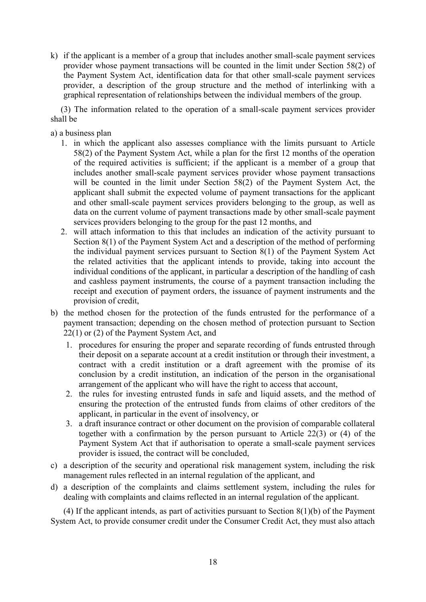k) if the applicant is a member of a group that includes another small-scale payment services provider whose payment transactions will be counted in the limit under Section 58(2) of the Payment System Act, identification data for that other small-scale payment services provider, a description of the group structure and the method of interlinking with a graphical representation of relationships between the individual members of the group.

(3) The information related to the operation of a small-scale payment services provider shall be

- a) a business plan
	- 1. in which the applicant also assesses compliance with the limits pursuant to Article 58(2) of the Payment System Act, while a plan for the first 12 months of the operation of the required activities is sufficient; if the applicant is a member of a group that includes another small-scale payment services provider whose payment transactions will be counted in the limit under Section 58(2) of the Payment System Act, the applicant shall submit the expected volume of payment transactions for the applicant and other small-scale payment services providers belonging to the group, as well as data on the current volume of payment transactions made by other small-scale payment services providers belonging to the group for the past 12 months, and
	- 2. will attach information to this that includes an indication of the activity pursuant to Section 8(1) of the Payment System Act and a description of the method of performing the individual payment services pursuant to Section 8(1) of the Payment System Act the related activities that the applicant intends to provide, taking into account the individual conditions of the applicant, in particular a description of the handling of cash and cashless payment instruments, the course of a payment transaction including the receipt and execution of payment orders, the issuance of payment instruments and the provision of credit,
- b) the method chosen for the protection of the funds entrusted for the performance of a payment transaction; depending on the chosen method of protection pursuant to Section 22(1) or (2) of the Payment System Act, and
	- 1. procedures for ensuring the proper and separate recording of funds entrusted through their deposit on a separate account at a credit institution or through their investment, a contract with a credit institution or a draft agreement with the promise of its conclusion by a credit institution, an indication of the person in the organisational arrangement of the applicant who will have the right to access that account,
	- 2. the rules for investing entrusted funds in safe and liquid assets, and the method of ensuring the protection of the entrusted funds from claims of other creditors of the applicant, in particular in the event of insolvency, or
	- 3. a draft insurance contract or other document on the provision of comparable collateral together with a confirmation by the person pursuant to Article 22(3) or (4) of the Payment System Act that if authorisation to operate a small-scale payment services provider is issued, the contract will be concluded,
- c) a description of the security and operational risk management system, including the risk management rules reflected in an internal regulation of the applicant, and
- d) a description of the complaints and claims settlement system, including the rules for dealing with complaints and claims reflected in an internal regulation of the applicant.

(4) If the applicant intends, as part of activities pursuant to Section 8(1)(b) of the Payment System Act, to provide consumer credit under the Consumer Credit Act, they must also attach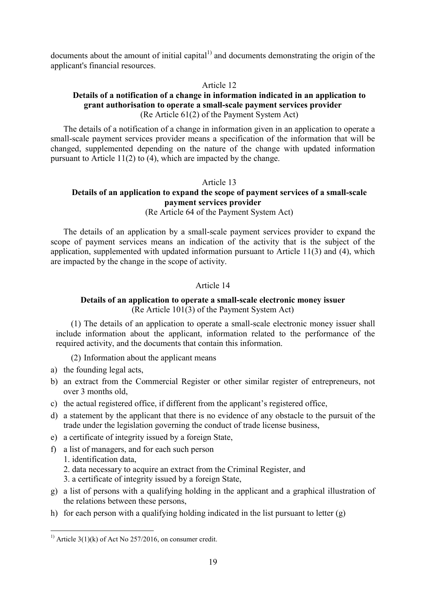documents about the amount of initial capital $<sup>1</sup>$  and documents demonstrating the origin of the</sup> applicant's financial resources.

### Article 12

## **Details of a notification of a change in information indicated in an application to grant authorisation to operate a small-scale payment services provider** (Re Article 61(2) of the Payment System Act)

The details of a notification of a change in information given in an application to operate a small-scale payment services provider means a specification of the information that will be changed, supplemented depending on the nature of the change with updated information pursuant to Article 11(2) to (4), which are impacted by the change.

### Article 13

# **Details of an application to expand the scope of payment services of a small-scale payment services provider**

(Re Article 64 of the Payment System Act)

The details of an application by a small-scale payment services provider to expand the scope of payment services means an indication of the activity that is the subject of the application, supplemented with updated information pursuant to Article 11(3) and (4), which are impacted by the change in the scope of activity.

## Article 14

## **Details of an application to operate a small-scale electronic money issuer** (Re Article 101(3) of the Payment System Act)

(1) The details of an application to operate a small-scale electronic money issuer shall include information about the applicant, information related to the performance of the required activity, and the documents that contain this information.

(2) Information about the applicant means

- a) the founding legal acts,
- b) an extract from the Commercial Register or other similar register of entrepreneurs, not over 3 months old,
- c) the actual registered office, if different from the applicant's registered office,
- d) a statement by the applicant that there is no evidence of any obstacle to the pursuit of the trade under the legislation governing the conduct of trade license business,
- e) a certificate of integrity issued by a foreign State,
- f) a list of managers, and for each such person
	- 1. identification data,

<u>.</u>

- 2. data necessary to acquire an extract from the Criminal Register, and
- 3. a certificate of integrity issued by a foreign State,
- g) a list of persons with a qualifying holding in the applicant and a graphical illustration of the relations between these persons,
- h) for each person with a qualifying holding indicated in the list pursuant to letter  $(g)$

<sup>&</sup>lt;sup>1)</sup> Article 3(1)(k) of Act No 257/2016, on consumer credit.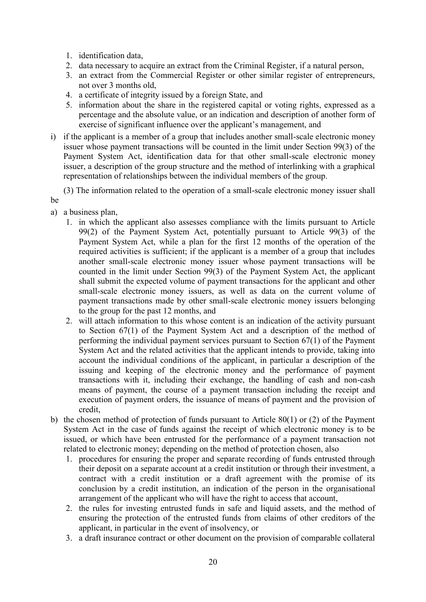- 1. identification data,
- 2. data necessary to acquire an extract from the Criminal Register, if a natural person,
- 3. an extract from the Commercial Register or other similar register of entrepreneurs, not over 3 months old,
- 4. a certificate of integrity issued by a foreign State, and
- 5. information about the share in the registered capital or voting rights, expressed as a percentage and the absolute value, or an indication and description of another form of exercise of significant influence over the applicant's management, and
- i) if the applicant is a member of a group that includes another small-scale electronic money issuer whose payment transactions will be counted in the limit under Section 99(3) of the Payment System Act, identification data for that other small-scale electronic money issuer, a description of the group structure and the method of interlinking with a graphical representation of relationships between the individual members of the group.

 (3) The information related to the operation of a small-scale electronic money issuer shall be

- a) a business plan,
	- 1. in which the applicant also assesses compliance with the limits pursuant to Article 99(2) of the Payment System Act, potentially pursuant to Article 99(3) of the Payment System Act, while a plan for the first 12 months of the operation of the required activities is sufficient; if the applicant is a member of a group that includes another small-scale electronic money issuer whose payment transactions will be counted in the limit under Section 99(3) of the Payment System Act, the applicant shall submit the expected volume of payment transactions for the applicant and other small-scale electronic money issuers, as well as data on the current volume of payment transactions made by other small-scale electronic money issuers belonging to the group for the past 12 months, and
	- 2. will attach information to this whose content is an indication of the activity pursuant to Section 67(1) of the Payment System Act and a description of the method of performing the individual payment services pursuant to Section 67(1) of the Payment System Act and the related activities that the applicant intends to provide, taking into account the individual conditions of the applicant, in particular a description of the issuing and keeping of the electronic money and the performance of payment transactions with it, including their exchange, the handling of cash and non-cash means of payment, the course of a payment transaction including the receipt and execution of payment orders, the issuance of means of payment and the provision of credit,
- b) the chosen method of protection of funds pursuant to Article 80(1) or (2) of the Payment System Act in the case of funds against the receipt of which electronic money is to be issued, or which have been entrusted for the performance of a payment transaction not related to electronic money; depending on the method of protection chosen, also
	- 1. procedures for ensuring the proper and separate recording of funds entrusted through their deposit on a separate account at a credit institution or through their investment, a contract with a credit institution or a draft agreement with the promise of its conclusion by a credit institution, an indication of the person in the organisational arrangement of the applicant who will have the right to access that account,
	- 2. the rules for investing entrusted funds in safe and liquid assets, and the method of ensuring the protection of the entrusted funds from claims of other creditors of the applicant, in particular in the event of insolvency, or
	- 3. a draft insurance contract or other document on the provision of comparable collateral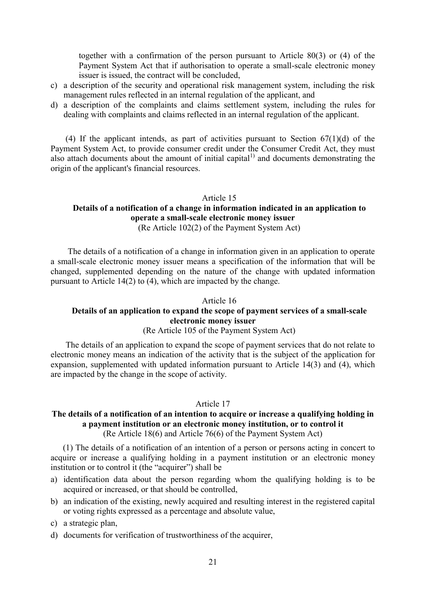together with a confirmation of the person pursuant to Article 80(3) or (4) of the Payment System Act that if authorisation to operate a small-scale electronic money issuer is issued, the contract will be concluded,

- c) a description of the security and operational risk management system, including the risk management rules reflected in an internal regulation of the applicant, and
- d) a description of the complaints and claims settlement system, including the rules for dealing with complaints and claims reflected in an internal regulation of the applicant.

(4) If the applicant intends, as part of activities pursuant to Section  $67(1)(d)$  of the Payment System Act, to provide consumer credit under the Consumer Credit Act, they must also attach documents about the amount of initial capital $^{1)}$  and documents demonstrating the origin of the applicant's financial resources.

# Article 15 **Details of a notification of a change in information indicated in an application to operate a small-scale electronic money issuer**

(Re Article 102(2) of the Payment System Act)

 The details of a notification of a change in information given in an application to operate a small-scale electronic money issuer means a specification of the information that will be changed, supplemented depending on the nature of the change with updated information pursuant to Article 14(2) to (4), which are impacted by the change.

### Article 16

# **Details of an application to expand the scope of payment services of a small-scale electronic money issuer**

## (Re Article 105 of the Payment System Act)

 The details of an application to expand the scope of payment services that do not relate to electronic money means an indication of the activity that is the subject of the application for expansion, supplemented with updated information pursuant to Article 14(3) and (4), which are impacted by the change in the scope of activity.

### Article 17

### **The details of a notification of an intention to acquire or increase a qualifying holding in a payment institution or an electronic money institution, or to control it**  (Re Article 18(6) and Article 76(6) of the Payment System Act)

(1) The details of a notification of an intention of a person or persons acting in concert to acquire or increase a qualifying holding in a payment institution or an electronic money institution or to control it (the "acquirer") shall be

- a) identification data about the person regarding whom the qualifying holding is to be acquired or increased, or that should be controlled,
- b) an indication of the existing, newly acquired and resulting interest in the registered capital or voting rights expressed as a percentage and absolute value,
- c) a strategic plan,
- d) documents for verification of trustworthiness of the acquirer,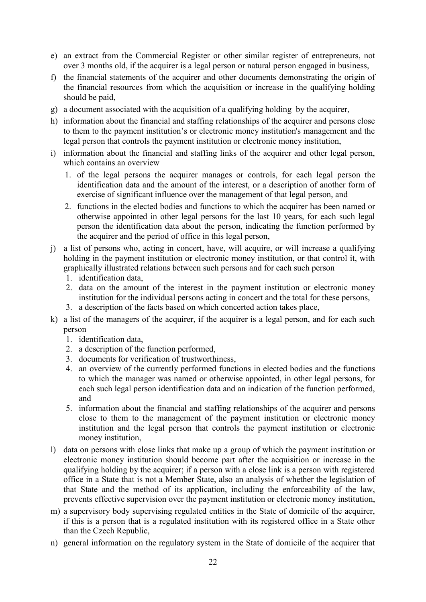- e) an extract from the Commercial Register or other similar register of entrepreneurs, not over 3 months old, if the acquirer is a legal person or natural person engaged in business,
- f) the financial statements of the acquirer and other documents demonstrating the origin of the financial resources from which the acquisition or increase in the qualifying holding should be paid,
- g) a document associated with the acquisition of a qualifying holding by the acquirer,
- h) information about the financial and staffing relationships of the acquirer and persons close to them to the payment institution's or electronic money institution's management and the legal person that controls the payment institution or electronic money institution,
- i) information about the financial and staffing links of the acquirer and other legal person, which contains an overview
	- 1. of the legal persons the acquirer manages or controls, for each legal person the identification data and the amount of the interest, or a description of another form of exercise of significant influence over the management of that legal person, and
	- 2. functions in the elected bodies and functions to which the acquirer has been named or otherwise appointed in other legal persons for the last 10 years, for each such legal person the identification data about the person, indicating the function performed by the acquirer and the period of office in this legal person,
- j) a list of persons who, acting in concert, have, will acquire, or will increase a qualifying holding in the payment institution or electronic money institution, or that control it, with graphically illustrated relations between such persons and for each such person
	- 1. identification data,
	- 2. data on the amount of the interest in the payment institution or electronic money institution for the individual persons acting in concert and the total for these persons,
	- 3. a description of the facts based on which concerted action takes place,
- k) a list of the managers of the acquirer, if the acquirer is a legal person, and for each such person
	- 1. identification data,
	- 2. a description of the function performed,
	- 3. documents for verification of trustworthiness,
	- 4. an overview of the currently performed functions in elected bodies and the functions to which the manager was named or otherwise appointed, in other legal persons, for each such legal person identification data and an indication of the function performed, and
	- 5. information about the financial and staffing relationships of the acquirer and persons close to them to the management of the payment institution or electronic money institution and the legal person that controls the payment institution or electronic money institution,
- l) data on persons with close links that make up a group of which the payment institution or electronic money institution should become part after the acquisition or increase in the qualifying holding by the acquirer; if a person with a close link is a person with registered office in a State that is not a Member State, also an analysis of whether the legislation of that State and the method of its application, including the enforceability of the law, prevents effective supervision over the payment institution or electronic money institution,
- m) a supervisory body supervising regulated entities in the State of domicile of the acquirer, if this is a person that is a regulated institution with its registered office in a State other than the Czech Republic,
- n) general information on the regulatory system in the State of domicile of the acquirer that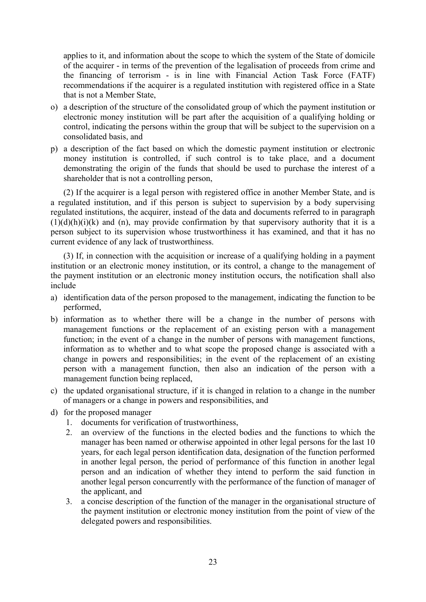applies to it, and information about the scope to which the system of the State of domicile of the acquirer - in terms of the prevention of the legalisation of proceeds from crime and the financing of terrorism - is in line with Financial Action Task Force (FATF) recommendations if the acquirer is a regulated institution with registered office in a State that is not a Member State,

- o) a description of the structure of the consolidated group of which the payment institution or electronic money institution will be part after the acquisition of a qualifying holding or control, indicating the persons within the group that will be subject to the supervision on a consolidated basis, and
- p) a description of the fact based on which the domestic payment institution or electronic money institution is controlled, if such control is to take place, and a document demonstrating the origin of the funds that should be used to purchase the interest of a shareholder that is not a controlling person,

(2) If the acquirer is a legal person with registered office in another Member State, and is a regulated institution, and if this person is subject to supervision by a body supervising regulated institutions, the acquirer, instead of the data and documents referred to in paragraph  $(1)(d)(h)(i)(k)$  and  $(n)$ , may provide confirmation by that supervisory authority that it is a person subject to its supervision whose trustworthiness it has examined, and that it has no current evidence of any lack of trustworthiness.

(3) If, in connection with the acquisition or increase of a qualifying holding in a payment institution or an electronic money institution, or its control, a change to the management of the payment institution or an electronic money institution occurs, the notification shall also include

- a) identification data of the person proposed to the management, indicating the function to be performed,
- b) information as to whether there will be a change in the number of persons with management functions or the replacement of an existing person with a management function; in the event of a change in the number of persons with management functions, information as to whether and to what scope the proposed change is associated with a change in powers and responsibilities; in the event of the replacement of an existing person with a management function, then also an indication of the person with a management function being replaced,
- c) the updated organisational structure, if it is changed in relation to a change in the number of managers or a change in powers and responsibilities, and
- d) for the proposed manager
	- 1. documents for verification of trustworthiness,
	- 2. an overview of the functions in the elected bodies and the functions to which the manager has been named or otherwise appointed in other legal persons for the last 10 years, for each legal person identification data, designation of the function performed in another legal person, the period of performance of this function in another legal person and an indication of whether they intend to perform the said function in another legal person concurrently with the performance of the function of manager of the applicant, and
	- 3. a concise description of the function of the manager in the organisational structure of the payment institution or electronic money institution from the point of view of the delegated powers and responsibilities.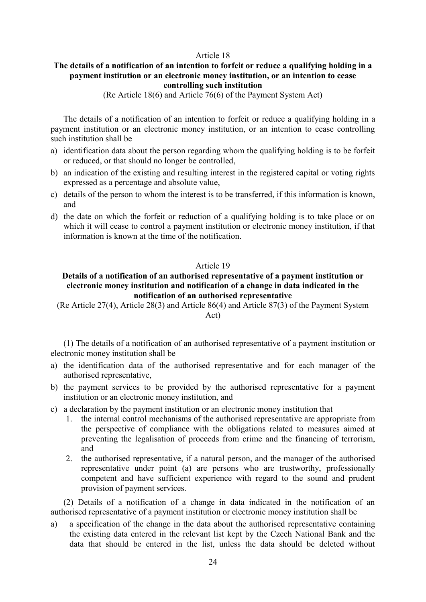### Article 18

### **The details of a notification of an intention to forfeit or reduce a qualifying holding in a payment institution or an electronic money institution, or an intention to cease controlling such institution**

(Re Article 18(6) and Article 76(6) of the Payment System Act)

The details of a notification of an intention to forfeit or reduce a qualifying holding in a payment institution or an electronic money institution, or an intention to cease controlling such institution shall be

- a) identification data about the person regarding whom the qualifying holding is to be forfeit or reduced, or that should no longer be controlled,
- b) an indication of the existing and resulting interest in the registered capital or voting rights expressed as a percentage and absolute value,
- c) details of the person to whom the interest is to be transferred, if this information is known, and
- d) the date on which the forfeit or reduction of a qualifying holding is to take place or on which it will cease to control a payment institution or electronic money institution, if that information is known at the time of the notification.

## Article 19

## **Details of a notification of an authorised representative of a payment institution or electronic money institution and notification of a change in data indicated in the notification of an authorised representative**

(Re Article 27(4), Article 28(3) and Article 86(4) and Article 87(3) of the Payment System Act)

(1) The details of a notification of an authorised representative of a payment institution or electronic money institution shall be

- a) the identification data of the authorised representative and for each manager of the authorised representative,
- b) the payment services to be provided by the authorised representative for a payment institution or an electronic money institution, and
- c) a declaration by the payment institution or an electronic money institution that
	- 1. the internal control mechanisms of the authorised representative are appropriate from the perspective of compliance with the obligations related to measures aimed at preventing the legalisation of proceeds from crime and the financing of terrorism, and
	- 2. the authorised representative, if a natural person, and the manager of the authorised representative under point (a) are persons who are trustworthy, professionally competent and have sufficient experience with regard to the sound and prudent provision of payment services.

(2) Details of a notification of a change in data indicated in the notification of an authorised representative of a payment institution or electronic money institution shall be

a) a specification of the change in the data about the authorised representative containing the existing data entered in the relevant list kept by the Czech National Bank and the data that should be entered in the list, unless the data should be deleted without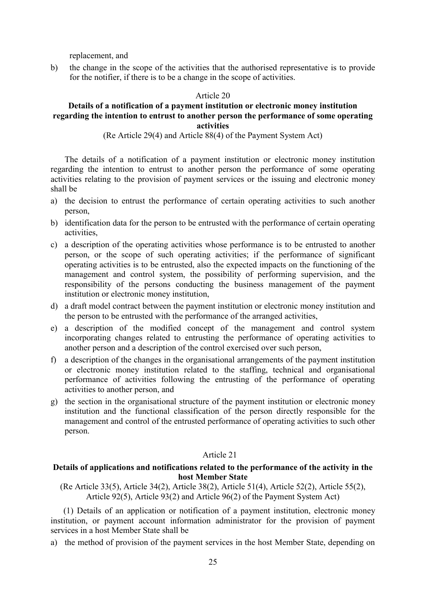replacement, and

b) the change in the scope of the activities that the authorised representative is to provide for the notifier, if there is to be a change in the scope of activities.

### Article 20

### **Details of a notification of a payment institution or electronic money institution regarding the intention to entrust to another person the performance of some operating activities**

### (Re Article 29(4) and Article 88(4) of the Payment System Act)

The details of a notification of a payment institution or electronic money institution regarding the intention to entrust to another person the performance of some operating activities relating to the provision of payment services or the issuing and electronic money shall be

- a) the decision to entrust the performance of certain operating activities to such another person,
- b) identification data for the person to be entrusted with the performance of certain operating activities,
- c) a description of the operating activities whose performance is to be entrusted to another person, or the scope of such operating activities; if the performance of significant operating activities is to be entrusted, also the expected impacts on the functioning of the management and control system, the possibility of performing supervision, and the responsibility of the persons conducting the business management of the payment institution or electronic money institution,
- d) a draft model contract between the payment institution or electronic money institution and the person to be entrusted with the performance of the arranged activities,
- e) a description of the modified concept of the management and control system incorporating changes related to entrusting the performance of operating activities to another person and a description of the control exercised over such person,
- f) a description of the changes in the organisational arrangements of the payment institution or electronic money institution related to the staffing, technical and organisational performance of activities following the entrusting of the performance of operating activities to another person, and
- g) the section in the organisational structure of the payment institution or electronic money institution and the functional classification of the person directly responsible for the management and control of the entrusted performance of operating activities to such other person.

## Article 21

### **Details of applications and notifications related to the performance of the activity in the host Member State**

(Re Article 33(5), Article 34(2), Article 38(2), Article 51(4), Article 52(2), Article 55(2), Article 92(5), Article 93(2) and Article 96(2) of the Payment System Act)

(1) Details of an application or notification of a payment institution, electronic money institution, or payment account information administrator for the provision of payment services in a host Member State shall be

a) the method of provision of the payment services in the host Member State, depending on